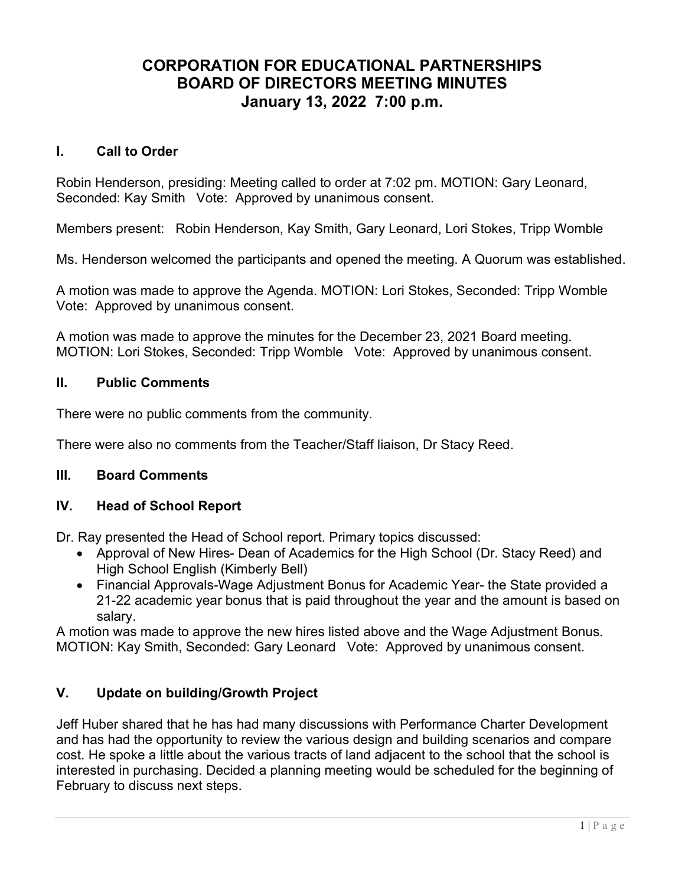# CORPORATION FOR EDUCATIONAL PARTNERSHIPS BOARD OF DIRECTORS MEETING MINUTES January 13, 2022 7:00 p.m.

## I. Call to Order

Robin Henderson, presiding: Meeting called to order at 7:02 pm. MOTION: Gary Leonard, Seconded: Kay Smith Vote: Approved by unanimous consent.

Members present: Robin Henderson, Kay Smith, Gary Leonard, Lori Stokes, Tripp Womble

Ms. Henderson welcomed the participants and opened the meeting. A Quorum was established.

A motion was made to approve the Agenda. MOTION: Lori Stokes, Seconded: Tripp Womble Vote: Approved by unanimous consent.

A motion was made to approve the minutes for the December 23, 2021 Board meeting. MOTION: Lori Stokes, Seconded: Tripp Womble Vote: Approved by unanimous consent.

# II. Public Comments

There were no public comments from the community.

There were also no comments from the Teacher/Staff liaison, Dr Stacy Reed.

### III. Board Comments

### IV. Head of School Report

Dr. Ray presented the Head of School report. Primary topics discussed:

- Approval of New Hires- Dean of Academics for the High School (Dr. Stacy Reed) and High School English (Kimberly Bell)
- Financial Approvals-Wage Adjustment Bonus for Academic Year- the State provided a 21-22 academic year bonus that is paid throughout the year and the amount is based on salary.

A motion was made to approve the new hires listed above and the Wage Adjustment Bonus. MOTION: Kay Smith, Seconded: Gary Leonard Vote: Approved by unanimous consent.

# V. Update on building/Growth Project

Jeff Huber shared that he has had many discussions with Performance Charter Development and has had the opportunity to review the various design and building scenarios and compare cost. He spoke a little about the various tracts of land adjacent to the school that the school is interested in purchasing. Decided a planning meeting would be scheduled for the beginning of February to discuss next steps.